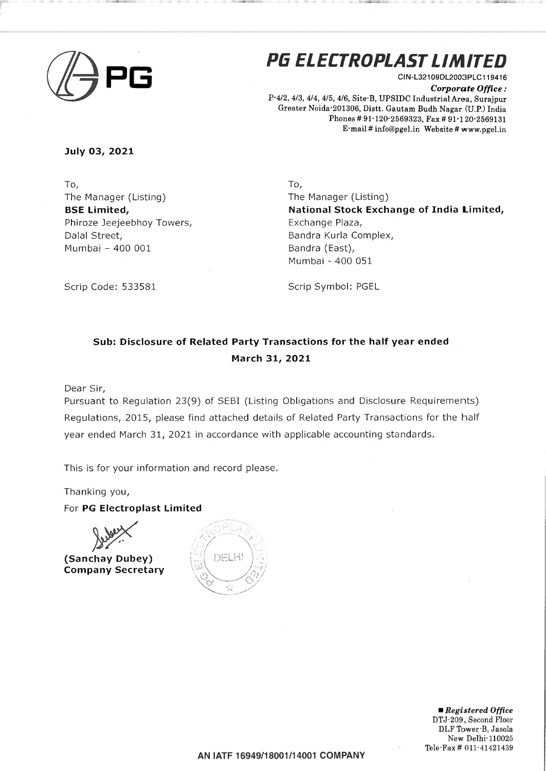

## **PG ELECTROPLAST LIMITED**

CIN-L321 09DL2003PLC119416 *Corporate Office:*  P-4/2, 4/3, 4/4, 4/5,4/6, Site-B, UPSIDC Industrial Area, Surajpur Greater Noida-201306, Distt. Gautam Budh Nagar (U.P.) India Phones# 91-120-2569323, Fax# 91-120·2569131 E-mail# info@pgel.in Website# www.pgel.in

**July 03, 2021** 

To, The Manager (Listing) **BSE limited,**  Phiroze Jeejeebhoy Towers, Dalal Street, Mumbai - 400 001

To, The Manager (Listing) **National Stock Exchange of India Limited,**  Exchange Plaza, Sandra Kurla Complex, Bandra (East), Mumbai - 400 051

Scrip Code: 533581

Scrip Symbol: PGEL

## **Sub: Disclosure of Related Party Transactions for the half year ended March 31, 2021**

Dear Sir,

Pursuant to Regulation 23(9) of SESI (Listing Obligations and Disclosure Requirements) Regulations, 2015, please find attached details of Related Party Transactions for the half year ended March 31, 2021 in accordance with applicable accounting standards.

This is for your information and record please.

Thanking you,

For **PG Electroplast limited** 

**(Sanchay Dubey) Company Secretary** 



• *Registered Office*  DTJ·209, Second Floor DLF Tower-B, Jasola New Delhi-110025 Tele-Fax# 011-41421439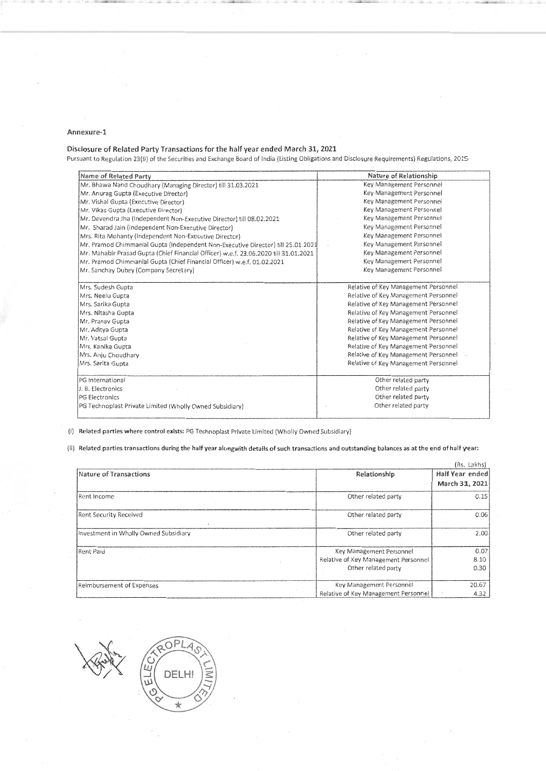## Annexure-1

## Disclosure of Related Party Transactions for the half year ended March 31, 2021

Pursuant to Regulation 23(9} of the Securities and Exchange Board of India (Listing Obligations and Disclosure Requirements) Regulations, 2015

| Name of Related Party                                                                | Nature of Relationship               |  |  |
|--------------------------------------------------------------------------------------|--------------------------------------|--|--|
| Mr. Bhawa Nand Choudhary (Managing Director) till 31.03.2021                         | Key Management Personnel             |  |  |
| Mr. Anurag Gupta (Executive Director)                                                | Key Management Personnel             |  |  |
| Mr. Vishal Gupta (Executive Director)                                                | Key Management Personnel             |  |  |
| Mr. Vikas Gupta (Executive Director)                                                 | Key Management Personnel             |  |  |
| Mr. Devendra Jha (Independent Non-Executive Director) till 08.02.2021                | Key Management Personnel             |  |  |
| Mr. Sharad Jain (Independent Non-Executive Director)                                 | Key Management Personnel             |  |  |
| Mrs. Rita Mohanty (Independent Non-Executive Director)                               | Key Management Personnel             |  |  |
| Mr. Pramod Chimmanial Gupta (Independent Non-Executive Director) till 25.01.2021     | Key Management Personnel             |  |  |
| Mr. Mahabir Prasad Gupta (Chief Financial Officer) w.e.f. 23.06.2020 till 31.01.2021 | Key Management Personnel             |  |  |
| Mr. Pramod Chimmanial Gupta (Chief Financial Officer) w.e.f. 01.02.2021              | Key Management Personnel             |  |  |
| Mr. Sanchay Dubey (Company Secretary)                                                | Key Management Personnel             |  |  |
| Mrs. Sudesh Gupta                                                                    | Relative of Key Management Personnel |  |  |
| Mrs. Neelu Gupta                                                                     | Relative of Key Management Personnel |  |  |
| Mrs. Sarika Gupta                                                                    | Relative of Key Management Personnel |  |  |
| Mrs. Nitasha Gupta                                                                   | Relative of Key Management Personnel |  |  |
| Mr. Pranav Gupta                                                                     | Relative of Key Management Personnel |  |  |
| Mr. Aditya Gupta                                                                     | Relative of Key Management Personnel |  |  |
| Relative of Key Management Personnel<br>Mr. Vatsal Gupta                             |                                      |  |  |
| Mrs. Kanika Gupta                                                                    | Relative of Key Management Personnel |  |  |
| Mrs. Anju Choudhary                                                                  | Relative of Key Management Personnel |  |  |
| Mrs. Sarita Gupta                                                                    | Relative of Key Management Personnel |  |  |
| PG International                                                                     | Other related party                  |  |  |
| Other related party<br>J. B. Electronics                                             |                                      |  |  |
| <b>PG Electronics</b>                                                                | Other related party                  |  |  |
| PG Technoplast Private Limited (Wholly Owned Subsidiary)                             | Other related party                  |  |  |

(i) Related parties where control exists: PG Technoplast Private Limited (Wholly Owned Subsidiary)

(ii) Related parties transactions during the half year alongwith details of such transactions and outstanding balances as at the end of half year:

|                                       |                                                                                         | (Rs. Lakhs)                       |
|---------------------------------------|-----------------------------------------------------------------------------------------|-----------------------------------|
| Nature of Transactions                | Relationship                                                                            | Half Year ended<br>March 31, 2021 |
| Rent Income                           | Other related party                                                                     | 0.15                              |
| <b>Rent Security Received</b>         | Other related party                                                                     | 0.06                              |
| Investment in Wholly Owned Subsidiary | Other related party                                                                     | 2.00                              |
| Rent Paid                             | Key Management Personnel<br>Relative of Key Management Personnel<br>Other related party | 0.07<br>8.10<br>0.30              |
| Reimbursement of Expenses             | Key Management Personnel<br>Relative of Key Management Personnel                        | 20.67<br>4.32                     |